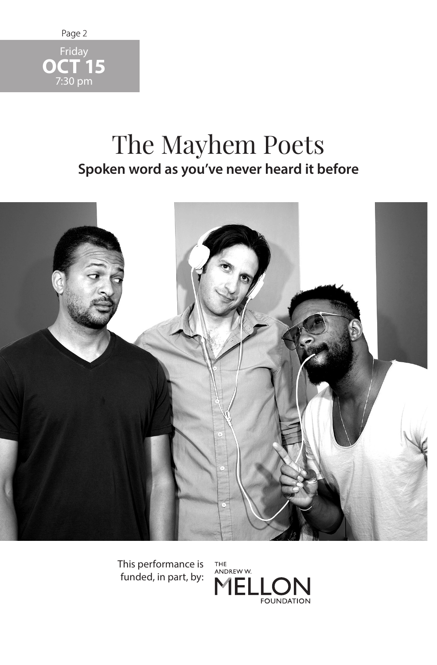

## The Mayhem Poets **Spoken word as you've never heard it before**



This performance is funded, in part, by:

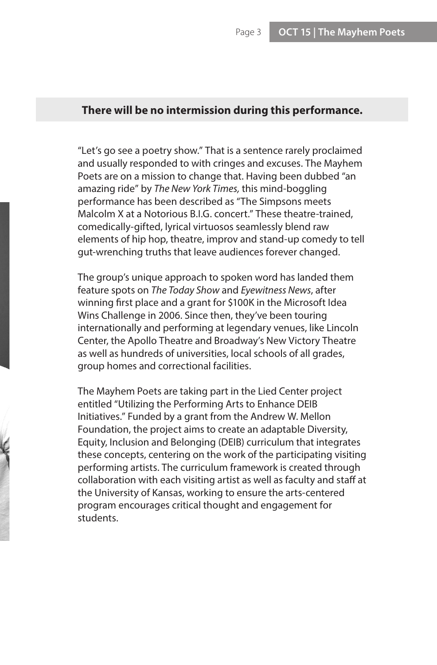## **There will be no intermission during this performance.**

"Let's go see a poetry show." That is a sentence rarely proclaimed and usually responded to with cringes and excuses. The Mayhem Poets are on a mission to change that. Having been dubbed "an amazing ride" by *The New York Times,* this mind-boggling performance has been described as "The Simpsons meets Malcolm X at a Notorious B.I.G. concert." These theatre-trained, comedically-gifted, lyrical virtuosos seamlessly blend raw elements of hip hop, theatre, improv and stand-up comedy to tell gut-wrenching truths that leave audiences forever changed.

The group's unique approach to spoken word has landed them feature spots on *The Today Show* and *Eyewitness News*, after winning first place and a grant for \$100K in the Microsoft Idea Wins Challenge in 2006. Since then, they've been touring internationally and performing at legendary venues, like Lincoln Center, the Apollo Theatre and Broadway's New Victory Theatre as well as hundreds of universities, local schools of all grades, group homes and correctional facilities.

The Mayhem Poets are taking part in the Lied Center project entitled "Utilizing the Performing Arts to Enhance DEIB Initiatives." Funded by a grant from the Andrew W. Mellon Foundation, the project aims to create an adaptable Diversity, Equity, Inclusion and Belonging (DEIB) curriculum that integrates these concepts, centering on the work of the participating visiting performing artists. The curriculum framework is created through collaboration with each visiting artist as well as faculty and staff at the University of Kansas, working to ensure the arts-centered program encourages critical thought and engagement for students.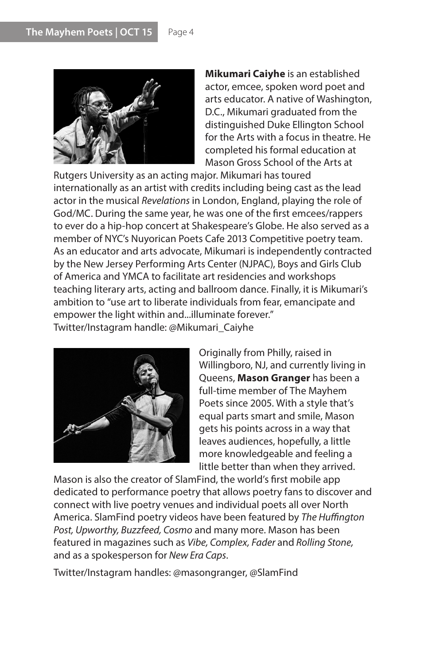

**Mikumari Caiyhe** is an established actor, emcee, spoken word poet and arts educator. A native of Washington, D.C., Mikumari graduated from the distinguished Duke Ellington School for the Arts with a focus in theatre. He completed his formal education at Mason Gross School of the Arts at

Rutgers University as an acting major. Mikumari has toured internationally as an artist with credits including being cast as the lead actor in the musical *Revelations* in London, England, playing the role of God/MC. During the same year, he was one of the first emcees/rappers to ever do a hip-hop concert at Shakespeare's Globe. He also served as a member of NYC's Nuyorican Poets Cafe 2013 Competitive poetry team. As an educator and arts advocate, Mikumari is independently contracted by the New Jersey Performing Arts Center (NJPAC), Boys and Girls Club of America and YMCA to facilitate art residencies and workshops teaching literary arts, acting and ballroom dance. Finally, it is Mikumari's ambition to "use art to liberate individuals from fear, emancipate and empower the light within and...illuminate forever." Twitter/Instagram handle: @Mikumari\_Caiyhe



Originally from Philly, raised in Willingboro, NJ, and currently living in Queens, **Mason Granger** has been a full-time member of The Mayhem Poets since 2005. With a style that's equal parts smart and smile, Mason gets his points across in a way that leaves audiences, hopefully, a little more knowledgeable and feeling a little better than when they arrived.

Mason is also the creator of SlamFind, the world's first mobile app dedicated to performance poetry that allows poetry fans to discover and connect with live poetry venues and individual poets all over North America. SlamFind poetry videos have been featured by *The Huffington Post, Upworthy, Buzzfeed, Cosmo* and many more. Mason has been featured in magazines such as *Vibe, Complex, Fader* and *Rolling Stone,*  and as a spokesperson for *New Era Caps*.

Twitter/Instagram handles: @masongranger, @SlamFind